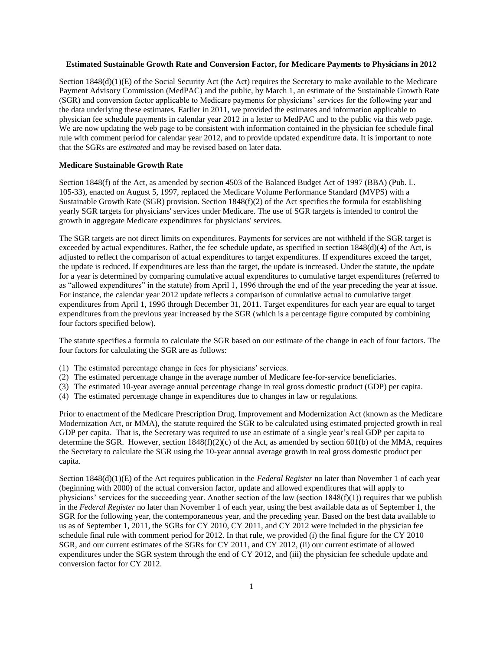# **Estimated Sustainable Growth Rate and Conversion Factor, for Medicare Payments to Physicians in 2012**

Section 1848(d)(1)(E) of the Social Security Act (the Act) requires the Secretary to make available to the Medicare Payment Advisory Commission (MedPAC) and the public, by March 1, an estimate of the Sustainable Growth Rate (SGR) and conversion factor applicable to Medicare payments for physicians' services for the following year and the data underlying these estimates. Earlier in 2011, we provided the estimates and information applicable to physician fee schedule payments in calendar year 2012 in a letter to MedPAC and to the public via this web page. We are now updating the web page to be consistent with information contained in the physician fee schedule final rule with comment period for calendar year 2012, and to provide updated expenditure data. It is important to note that the SGRs are *estimated* and may be revised based on later data.

# **Medicare Sustainable Growth Rate**

Section 1848(f) of the Act, as amended by section 4503 of the Balanced Budget Act of 1997 (BBA) (Pub. L. 105-33), enacted on August 5, 1997, replaced the Medicare Volume Performance Standard (MVPS) with a Sustainable Growth Rate (SGR) provision. Section 1848(f)(2) of the Act specifies the formula for establishing yearly SGR targets for physicians' services under Medicare. The use of SGR targets is intended to control the growth in aggregate Medicare expenditures for physicians' services.

The SGR targets are not direct limits on expenditures. Payments for services are not withheld if the SGR target is exceeded by actual expenditures. Rather, the fee schedule update, as specified in section  $1848(d)(4)$  of the Act, is adjusted to reflect the comparison of actual expenditures to target expenditures. If expenditures exceed the target, the update is reduced. If expenditures are less than the target, the update is increased. Under the statute, the update for a year is determined by comparing cumulative actual expenditures to cumulative target expenditures (referred to as "allowed expenditures" in the statute) from April 1, 1996 through the end of the year preceding the year at issue. For instance, the calendar year 2012 update reflects a comparison of cumulative actual to cumulative target expenditures from April 1, 1996 through December 31, 2011. Target expenditures for each year are equal to target expenditures from the previous year increased by the SGR (which is a percentage figure computed by combining four factors specified below).

The statute specifies a formula to calculate the SGR based on our estimate of the change in each of four factors. The four factors for calculating the SGR are as follows:

- (1) The estimated percentage change in fees for physicians' services.
- (2) The estimated percentage change in the average number of Medicare fee-for-service beneficiaries.
- (3) The estimated 10-year average annual percentage change in real gross domestic product (GDP) per capita.
- (4) The estimated percentage change in expenditures due to changes in law or regulations.

Prior to enactment of the Medicare Prescription Drug, Improvement and Modernization Act (known as the Medicare Modernization Act, or MMA), the statute required the SGR to be calculated using estimated projected growth in real GDP per capita. That is, the Secretary was required to use an estimate of a single year's real GDP per capita to determine the SGR. However, section  $1848(f)(2)(c)$  of the Act, as amended by section 601(b) of the MMA, requires the Secretary to calculate the SGR using the 10-year annual average growth in real gross domestic product per capita.

Section 1848(d)(1)(E) of the Act requires publication in the *Federal Register* no later than November 1 of each year (beginning with 2000) of the actual conversion factor, update and allowed expenditures that will apply to physicians' services for the succeeding year. Another section of the law (section  $1848(f)(1)$ ) requires that we publish in the *Federal Register* no later than November 1 of each year, using the best available data as of September 1, the SGR for the following year, the contemporaneous year, and the preceding year. Based on the best data available to us as of September 1, 2011, the SGRs for CY 2010, CY 2011, and CY 2012 were included in the physician fee schedule final rule with comment period for 2012. In that rule, we provided (i) the final figure for the CY 2010 SGR, and our current estimates of the SGRs for CY 2011, and CY 2012, (ii) our current estimate of allowed expenditures under the SGR system through the end of CY 2012, and (iii) the physician fee schedule update and conversion factor for CY 2012.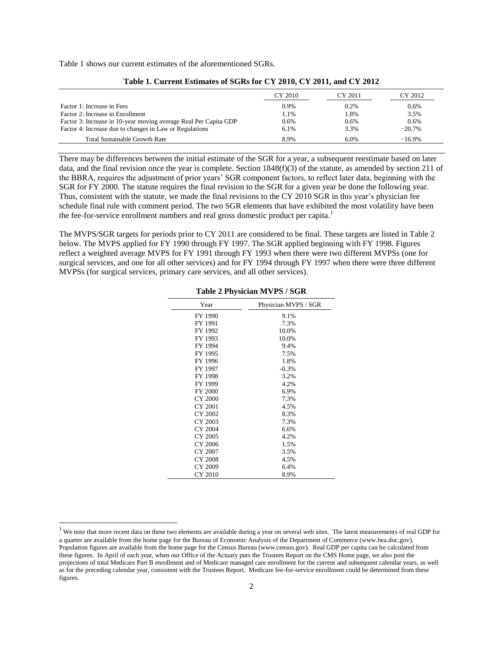Table 1 shows our current estimates of the aforementioned SGRs.

|                                                                  | CY 2010 | CY 2011 | CY 2012  |
|------------------------------------------------------------------|---------|---------|----------|
| Factor 1: Increase in Fees                                       | $0.9\%$ | 0.2%    | 0.6%     |
| Factor 2: Increase in Enrollment                                 | 1.1%    | 1.8%    | 3.5%     |
| Factor 3: Increase in 10-year moving average Real Per Capita GDP | 0.6%    | 0.6%    | 0.6%     |
| Factor 4: Increase due to changes in Law or Regulations          | 6.1%    | 3.3%    | $-20.7%$ |
| <b>Total Sustainable Growth Rate</b>                             | 8.9%    | 6.0%    | $-16.9%$ |

## **Table 1. Current Estimates of SGRs for CY 2010, CY 2011, and CY 2012**

There may be differences between the initial estimate of the SGR for a year, a subsequent reestimate based on later data, and the final revision once the year is complete. Section 1848(f)(3) of the statute, as amended by section 211 of the BBRA, requires the adjustment of prior years' SGR component factors, to reflect later data, beginning with the SGR for FY 2000. The statute requires the final revision to the SGR for a given year be done the following year. Thus, consistent with the statute, we made the final revisions to the CY 2010 SGR in this year's physician fee schedule final rule with comment period. The two SGR elements that have exhibited the most volatility have been the fee-for-service enrollment numbers and real gross domestic product per capita.<sup>1</sup>

The MVPS/SGR targets for periods prior to CY 2011 are considered to be final. These targets are listed in Table 2 below. The MVPS applied for FY 1990 through FY 1997. The SGR applied beginning with FY 1998. Figures reflect a weighted average MVPS for FY 1991 through FY 1993 when there were two different MVPSs (one for surgical services, and one for all other services) and for FY 1994 through FY 1997 when there were three different MVPSs (for surgical services, primary care services, and all other services).

| Year           | Physician MVPS / SGR |
|----------------|----------------------|
| FY 1990        | 9.1%                 |
| FY 1991        | 7.3%                 |
| FY 1992        | 10.0%                |
| FY 1993        | 10.0%                |
| FY 1994        | 9.4%                 |
| FY 1995        | 7.5%                 |
| FY 1996        | 1.8%                 |
| FY 1997        | $-0.3%$              |
| FY 1998        | 3.2%                 |
| FY 1999        | 4.2%                 |
| <b>FY 2000</b> | 6.9%                 |
| CY 2000        | 7.3%                 |
| CY 2001        | 4.5%                 |
| CY 2002        | 8.3%                 |
| CY 2003        | 7.3%                 |
| CY 2004        | 6.6%                 |
| CY 2005        | 4.2%                 |
| CY 2006        | 1.5%                 |
| CY 2007        | 3.5%                 |
| CY 2008        | 4.5%                 |
| CY 2009        | 6.4%                 |
| CY 2010        | 8.9%                 |

**Table 2 Physician MVPS / SGR** 

 $\overline{a}$ 

 $<sup>1</sup>$  We note that more recent data on these two elements are available during a year on several web sites. The latest measurements of real GDP for</sup> a quarter are available from the home page for the Bureau of Economic Analysis of the Department of Commerce (www.bea.doc.gov). Population figures are available from the home page for the Census Bureau (www.census.gov). Real GDP per capita can be calculated from these figures. In April of each year, when our Office of the Actuary puts the Trustees Report on the CMS Home page, we also post the projections of total Medicare Part B enrollment and of Medicare managed care enrollment for the current and subsequent calendar years, as well as for the preceding calendar year, consistent with the Trustees Report. Medicare fee-for-service enrollment could be determined from these figures.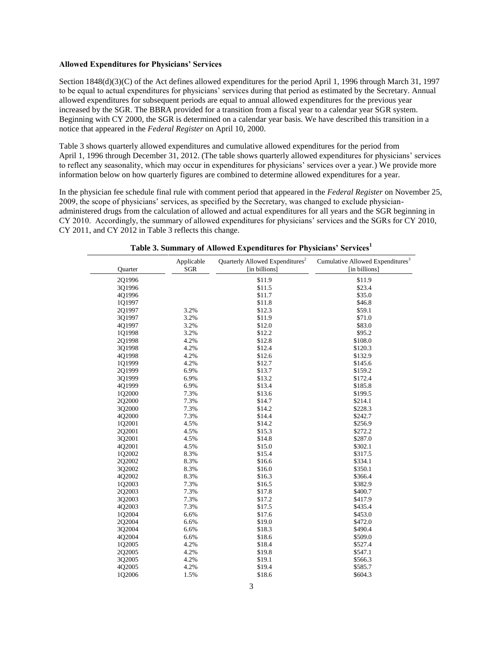## **Allowed Expenditures for Physicians' Services**

Section 1848(d)(3)(C) of the Act defines allowed expenditures for the period April 1, 1996 through March 31, 1997 to be equal to actual expenditures for physicians' services during that period as estimated by the Secretary. Annual allowed expenditures for subsequent periods are equal to annual allowed expenditures for the previous year increased by the SGR. The BBRA provided for a transition from a fiscal year to a calendar year SGR system. Beginning with CY 2000, the SGR is determined on a calendar year basis. We have described this transition in a notice that appeared in the *Federal Register* on April 10, 2000.

Table 3 shows quarterly allowed expenditures and cumulative allowed expenditures for the period from April 1, 1996 through December 31, 2012. (The table shows quarterly allowed expenditures for physicians' services to reflect any seasonality, which may occur in expenditures for physicians' services over a year.) We provide more information below on how quarterly figures are combined to determine allowed expenditures for a year.

In the physician fee schedule final rule with comment period that appeared in the *Federal Register* on November 25, 2009, the scope of physicians' services, as specified by the Secretary, was changed to exclude physicianadministered drugs from the calculation of allowed and actual expenditures for all years and the SGR beginning in CY 2010. Accordingly, the summary of allowed expenditures for physicians' services and the SGRs for CY 2010, CY 2011, and CY 2012 in Table 3 reflects this change.

| Quarter | Applicable<br><b>SGR</b> | Quarterly Allowed Expenditures <sup>2</sup><br>[in billions] | Cumulative Allowed Expenditures <sup>3</sup><br>[in billions] |
|---------|--------------------------|--------------------------------------------------------------|---------------------------------------------------------------|
| 201996  |                          | \$11.9                                                       | \$11.9                                                        |
| 3Q1996  |                          | \$11.5                                                       | \$23.4                                                        |
| 4Q1996  |                          | \$11.7                                                       | \$35.0                                                        |
| 1Q1997  |                          | \$11.8                                                       | \$46.8                                                        |
| 2Q1997  | 3.2%                     | \$12.3                                                       | \$59.1                                                        |
| 3Q1997  | 3.2%                     | \$11.9                                                       | \$71.0                                                        |
| 4Q1997  | 3.2%                     | \$12.0                                                       | \$83.0                                                        |
| 1Q1998  | 3.2%                     | \$12.2                                                       | \$95.2                                                        |
| 2Q1998  | 4.2%                     | \$12.8                                                       | \$108.0                                                       |
| 3Q1998  | 4.2%                     | \$12.4                                                       | \$120.3                                                       |
| 4Q1998  | 4.2%                     | \$12.6                                                       | \$132.9                                                       |
| 1Q1999  | 4.2%                     | \$12.7                                                       | \$145.6                                                       |
| 2Q1999  | 6.9%                     | \$13.7                                                       | \$159.2                                                       |
| 3Q1999  | 6.9%                     | \$13.2                                                       | \$172.4                                                       |
| 4Q1999  | 6.9%                     | \$13.4                                                       | \$185.8                                                       |
| 1Q2000  | 7.3%                     | \$13.6                                                       | \$199.5                                                       |
| 2Q2000  | 7.3%                     | \$14.7                                                       | \$214.1                                                       |
| 3Q2000  | 7.3%                     | \$14.2                                                       | \$228.3                                                       |
| 4Q2000  | 7.3%                     | \$14.4                                                       | \$242.7                                                       |
| 1Q2001  | 4.5%                     | \$14.2                                                       | \$256.9                                                       |
| 2Q2001  | 4.5%                     | \$15.3                                                       | \$272.2                                                       |
| 3Q2001  | 4.5%                     | \$14.8                                                       | \$287.0                                                       |
| 4Q2001  | 4.5%                     | \$15.0                                                       | \$302.1                                                       |
| 1Q2002  | 8.3%                     | \$15.4                                                       | \$317.5                                                       |
| 2Q2002  | 8.3%                     | \$16.6                                                       | \$334.1                                                       |
| 3Q2002  | 8.3%                     | \$16.0                                                       | \$350.1                                                       |
| 4Q2002  | 8.3%                     | \$16.3                                                       | \$366.4                                                       |
| 1Q2003  | 7.3%                     | \$16.5                                                       | \$382.9                                                       |
| 2Q2003  | 7.3%                     | \$17.8                                                       | \$400.7                                                       |
| 3Q2003  | 7.3%                     | \$17.2                                                       | \$417.9                                                       |
| 4Q2003  | 7.3%                     | \$17.5                                                       | \$435.4                                                       |
| 1Q2004  | 6.6%                     | \$17.6                                                       | \$453.0                                                       |
| 2Q2004  | 6.6%                     | \$19.0                                                       | \$472.0                                                       |
| 3Q2004  | 6.6%                     | \$18.3                                                       | \$490.4                                                       |
| 4Q2004  | 6.6%                     | \$18.6                                                       | \$509.0                                                       |
| 1Q2005  | 4.2%                     | \$18.4                                                       | \$527.4                                                       |
| 2Q2005  | 4.2%                     | \$19.8                                                       | \$547.1                                                       |
| 3Q2005  | 4.2%                     | \$19.1                                                       | \$566.3                                                       |
| 4Q2005  | 4.2%                     | \$19.4                                                       | \$585.7                                                       |
| 1Q2006  | 1.5%                     | \$18.6                                                       | \$604.3                                                       |

**Table 3. Summary of Allowed Expenditures for Physicians' Services[1](#page-3-0)**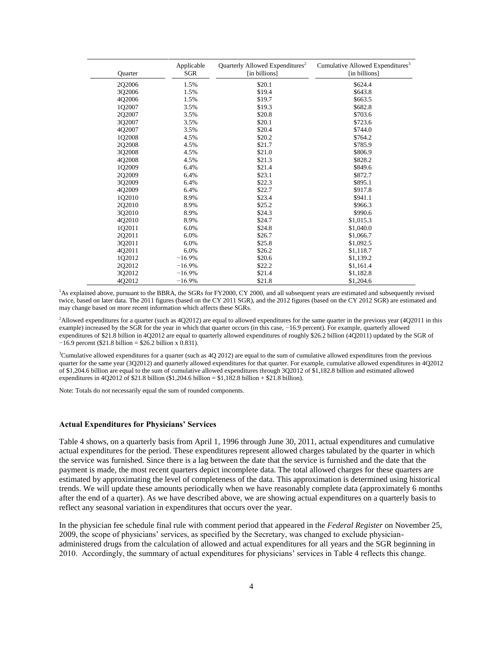| Quarter | Applicable<br><b>SGR</b> | Quarterly Allowed Expenditures <sup>2</sup><br>[in billions] | Cumulative Allowed Expenditures <sup>3</sup><br>[in billions] |
|---------|--------------------------|--------------------------------------------------------------|---------------------------------------------------------------|
| 2Q2006  | 1.5%                     | \$20.1                                                       | \$624.4                                                       |
| 3Q2006  | 1.5%                     | \$19.4                                                       | \$643.8                                                       |
| 402006  | 1.5%                     | \$19.7                                                       | \$663.5                                                       |
| 1Q2007  | 3.5%                     | \$19.3                                                       | \$682.8                                                       |
| 2Q2007  | 3.5%                     | \$20.8                                                       | \$703.6                                                       |
| 3Q2007  | 3.5%                     | \$20.1                                                       | \$723.6                                                       |
| 4Q2007  | 3.5%                     | \$20.4                                                       | \$744.0                                                       |
| 1Q2008  | 4.5%                     | \$20.2                                                       | \$764.2                                                       |
| 2Q2008  | 4.5%                     | \$21.7                                                       | \$785.9                                                       |
| 3Q2008  | 4.5%                     | \$21.0                                                       | \$806.9                                                       |
| 4Q2008  | 4.5%                     | \$21.3                                                       | \$828.2                                                       |
| 1Q2009  | 6.4%                     | \$21.4                                                       | \$849.6                                                       |
| 202009  | 6.4%                     | \$23.1                                                       | \$872.7                                                       |
| 3Q2009  | 6.4%                     | \$22.3                                                       | \$895.1                                                       |
| 4Q2009  | 6.4%                     | \$22.7                                                       | \$917.8                                                       |
| 1Q2010  | 8.9%                     | \$23.4                                                       | \$941.1                                                       |
| 202010  | 8.9%                     | \$25.2                                                       | \$966.3                                                       |
| 3Q2010  | 8.9%                     | \$24.3                                                       | \$990.6                                                       |
| 4Q2010  | 8.9%                     | \$24.7                                                       | \$1,015.3                                                     |
| 1Q2011  | 6.0%                     | \$24.8                                                       | \$1,040.0                                                     |
| 2Q2011  | 6.0%                     | \$26.7                                                       | \$1,066.7                                                     |
| 3Q2011  | 6.0%                     | \$25.8                                                       | \$1,092.5                                                     |
| 402011  | 6.0%                     | \$26.2                                                       | \$1,118.7                                                     |
| 1Q2012  | $-16.9%$                 | \$20.6                                                       | \$1,139.2                                                     |
| 2Q2012  | $-16.9%$                 | \$22.2                                                       | \$1,161.4                                                     |
| 3Q2012  | $-16.9%$                 | \$21.4                                                       | \$1,182.8                                                     |
| 4Q2012  | $-16.9%$                 | \$21.8                                                       | \$1,204.6                                                     |

<span id="page-3-0"></span><sup>1</sup>As explained above, pursuant to the BBRA, the SGRs for FY2000, CY 2000, and all subsequent years are estimated and subsequently revised twice, based on later data. The 2011 figures (based on the CY 2011 SGR), and the 2012 figures (based on the CY 2012 SGR) are estimated and may change based on more recent information which affects these SGRs.

<span id="page-3-1"></span><sup>2</sup>Allowed expenditures for a quarter (such as 4Q2012) are equal to allowed expenditures for the same quarter in the previous year (4Q2011 in this example) increased by the SGR for the year in which that quarter occurs (in this case, −16.9 percent). For example, quarterly allowed expenditures of \$21.8 billion in 4Q2012 are equal to quarterly allowed expenditures of roughly \$26.2 billion (4Q2011) updated by the SGR of  $-16.9$  percent (\$21.8 billion = \$26.2 billion x 0.831).

<span id="page-3-2"></span> $3$ Cumulative allowed expenditures for a quarter (such as 4Q 2012) are equal to the sum of cumulative allowed expenditures from the previous quarter for the same year (3Q2012) and quarterly allowed expenditures for that quarter. For example, cumulative allowed expenditures in 4Q2012 of \$1,204.6 billion are equal to the sum of cumulative allowed expenditures through 3Q2012 of \$1,182.8 billion and estimated allowed expenditures in 4Q2012 of \$21.8 billion (\$1,204.6 billion = \$1,182.8 billion + \$21.8 billion).

Note: Totals do not necessarily equal the sum of rounded components.

#### **Actual Expenditures for Physicians' Services**

Table 4 shows, on a quarterly basis from April 1, 1996 through June 30, 2011, actual expenditures and cumulative actual expenditures for the period. These expenditures represent allowed charges tabulated by the quarter in which the service was furnished. Since there is a lag between the date that the service is furnished and the date that the payment is made, the most recent quarters depict incomplete data. The total allowed charges for these quarters are estimated by approximating the level of completeness of the data. This approximation is determined using historical trends. We will update these amounts periodically when we have reasonably complete data (approximately 6 months after the end of a quarter). As we have described above, we are showing actual expenditures on a quarterly basis to reflect any seasonal variation in expenditures that occurs over the year.

In the physician fee schedule final rule with comment period that appeared in the *Federal Register* on November 25, 2009, the scope of physicians' services, as specified by the Secretary, was changed to exclude physicianadministered drugs from the calculation of allowed and actual expenditures for all years and the SGR beginning in 2010. Accordingly, the summary of actual expenditures for physicians' services in Table 4 reflects this change.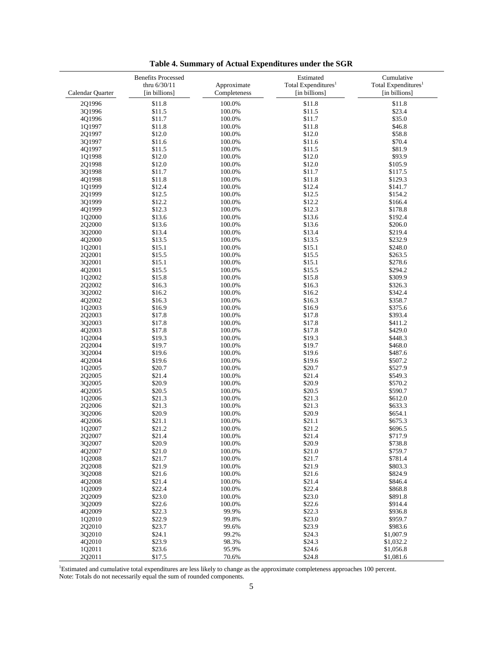|                  | <b>Benefits Processed</b> |                  | Estimated                       | Cumulative                      |
|------------------|---------------------------|------------------|---------------------------------|---------------------------------|
|                  | thru 6/30/11              | Approximate      | Total Expenditures <sup>1</sup> | Total Expenditures <sup>1</sup> |
| Calendar Quarter | [in billions]             | Completeness     | [in billions]                   | [in billions]                   |
| 2Q1996           | \$11.8                    | 100.0%           | \$11.8                          | \$11.8                          |
| 3Q1996           | \$11.5                    | 100.0%           | \$11.5                          | \$23.4                          |
| 4Q1996           | \$11.7                    | 100.0%           | \$11.7                          | \$35.0                          |
| 1Q1997           | \$11.8                    | 100.0%           | \$11.8                          | \$46.8                          |
| 2Q1997           | \$12.0                    | 100.0%           | \$12.0                          | \$58.8                          |
| 3Q1997           | \$11.6                    | 100.0%           | \$11.6                          | \$70.4                          |
| 4Q1997           | \$11.5                    | 100.0%           | \$11.5                          | \$81.9                          |
| 1Q1998           | \$12.0                    | 100.0%           | \$12.0                          | \$93.9                          |
| 2Q1998           | \$12.0                    | 100.0%           | \$12.0                          | \$105.9                         |
| 3Q1998           | \$11.7                    | 100.0%           | \$11.7                          | \$117.5                         |
| 4Q1998           | \$11.8                    | 100.0%           | \$11.8                          | \$129.3                         |
| 1Q1999           | \$12.4                    | 100.0%           | \$12.4                          | \$141.7                         |
| 2Q1999           | \$12.5                    | 100.0%           | \$12.5                          | \$154.2                         |
| 3Q1999           | \$12.2                    | 100.0%           | \$12.2                          | \$166.4                         |
| 4Q1999           | \$12.3                    | 100.0%           | \$12.3                          | \$178.8                         |
| 1Q2000           | \$13.6                    | 100.0%           | \$13.6                          | \$192.4                         |
| 2Q2000           | \$13.6                    | 100.0%           | \$13.6                          | \$206.0                         |
| 3Q2000           | \$13.4                    | 100.0%           | \$13.4                          | \$219.4                         |
| 4Q2000           | \$13.5                    | 100.0%           | \$13.5                          | \$232.9                         |
| 1Q2001           | \$15.1                    | 100.0%           | \$15.1                          | \$248.0                         |
| 202001           | \$15.5                    | 100.0%           | \$15.5                          | \$263.5                         |
| 3Q2001           | \$15.1                    | 100.0%           | \$15.1                          | \$278.6                         |
| 4Q2001           | \$15.5                    | 100.0%           | \$15.5                          | \$294.2                         |
| 1Q2002           | \$15.8                    | 100.0%           | \$15.8                          | \$309.9                         |
| 2Q2002           | \$16.3                    | 100.0%           | \$16.3                          | \$326.3                         |
| 3Q2002           | \$16.2                    | 100.0%           | \$16.2                          | \$342.4                         |
| 4Q2002           | \$16.3                    | 100.0%           | \$16.3                          | \$358.7                         |
| 1Q2003           | \$16.9                    | 100.0%           | \$16.9                          | \$375.6                         |
| 2Q2003           | \$17.8                    | 100.0%           | \$17.8                          | \$393.4                         |
| 3Q2003           | \$17.8                    | 100.0%           | \$17.8                          | \$411.2                         |
| 4Q2003           | \$17.8                    | 100.0%           | \$17.8                          | \$429.0                         |
| 1Q2004           | \$19.3                    | 100.0%           | \$19.3                          | \$448.3                         |
| 2Q2004           | \$19.7                    | 100.0%           | \$19.7                          | \$468.0                         |
| 3Q2004           | \$19.6                    | 100.0%           | \$19.6                          | \$487.6                         |
| 4Q2004           | \$19.6                    | 100.0%           | \$19.6                          | \$507.2                         |
| 1Q2005           | \$20.7                    | 100.0%           | \$20.7                          | \$527.9                         |
| 2Q2005           | \$21.4                    | 100.0%           | \$21.4                          | \$549.3                         |
| 3Q2005<br>4Q2005 | \$20.9<br>\$20.5          | 100.0%<br>100.0% | \$20.9<br>\$20.5                | \$570.2<br>\$590.7              |
|                  | \$21.3                    |                  | \$21.3                          | \$612.0                         |
| 1Q2006<br>2Q2006 | \$21.3                    | 100.0%<br>100.0% | \$21.3                          | \$633.3                         |
| 3Q2006           | \$20.9                    | 100.0%           | \$20.9                          | \$654.1                         |
| 4Q2006           | \$21.1                    | 100.0%           | \$21.1                          | \$675.3                         |
| 1Q2007           | \$21.2                    | 100.0%           | \$21.2                          | \$696.5                         |
| 2Q2007           | \$21.4                    | 100.0%           | \$21.4                          | \$717.9                         |
| 3Q2007           | \$20.9                    | 100.0%           | \$20.9                          | \$738.8                         |
| 4Q2007           | \$21.0                    | 100.0%           | \$21.0                          | \$759.7                         |
| 1Q2008           | \$21.7                    | 100.0%           | \$21.7                          | \$781.4                         |
| 2Q2008           | \$21.9                    | 100.0%           | \$21.9                          | \$803.3                         |
| 3Q2008           | \$21.6                    | 100.0%           | \$21.6                          | \$824.9                         |
| 4Q2008           | \$21.4                    | 100.0%           | \$21.4                          | \$846.4                         |
| 1Q2009           | \$22.4                    | 100.0%           | \$22.4                          | \$868.8                         |
| 2Q2009           | \$23.0                    | 100.0%           | \$23.0                          | \$891.8                         |
| 3Q2009           | \$22.6                    | 100.0%           | \$22.6                          | \$914.4                         |
| 4Q2009           | \$22.3                    | 99.9%            | \$22.3                          | \$936.8                         |
| 1Q2010           | \$22.9                    | 99.8%            | \$23.0                          | \$959.7                         |
| 2Q2010           | \$23.7                    | 99.6%            | \$23.9                          | \$983.6                         |
| 3Q2010           | \$24.1                    | 99.2%            | \$24.3                          | \$1,007.9                       |
| 4Q2010           | \$23.9                    | 98.3%            | \$24.3                          | \$1,032.2                       |
| 1Q2011           | \$23.6                    | 95.9%            | \$24.6                          | \$1,056.8                       |
| 2Q2011           | \$17.5                    | 70.6%            | \$24.8                          | \$1,081.6                       |

**Table 4. Summary of Actual Expenditures under the SGR** 

<span id="page-4-0"></span><sup>1</sup>Estimated and cumulative total expenditures are less likely to change as the approximate completeness approaches 100 percent. Note: Totals do not necessarily equal the sum of rounded components.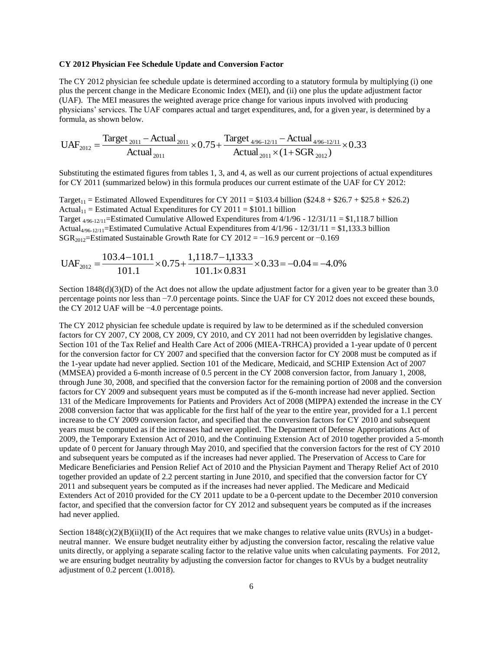## **CY 2012 Physician Fee Schedule Update and Conversion Factor**

The CY 2012 physician fee schedule update is determined according to a statutory formula by multiplying (i) one plus the percent change in the Medicare Economic Index (MEI), and (ii) one plus the update adjustment factor (UAF). The MEI measures the weighted average price change for various inputs involved with producing physicians' services. The UAF compares actual and target expenditures, and, for a given year, is determined by a formula, as shown below.

$$
UAF_{2012} = \frac{Target_{2011} - Actual_{2011}}{Actual_{2011}} \times 0.75 + \frac{Target_{4/96-12/11} -Actual_{4/96-12/11}}{Actual_{2011}} \times 0.33
$$

Substituting the estimated figures from tables 1, 3, and 4, as well as our current projections of actual expenditures for CY 2011 (summarized below) in this formula produces our current estimate of the UAF for CY 2012:

Target<sub>11</sub> = Estimated Allowed Expenditures for CY 2011 = \$103.4 billion (\$24.8 + \$26.7 + \$25.8 + \$26.2) Actual<sub>11</sub> = Estimated Actual Expenditures for CY 2011 = \$101.1 billion Target  $_{4/96-12/11}$ =Estimated Cumulative Allowed Expenditures from  $4/1/96$  -  $12/31/11 = $1,118.7$  billion Actual<sub>4/96-12/11</sub>=Estimated Cumulative Actual Expenditures from  $4/1/96 - 12/31/11 = $1,133.3$  billion SGR2012=Estimated Sustainable Growth Rate for CY 2012 = −16.9 percent or −0.169

$$
UAF_{2012} = \frac{103.4 - 101.1}{101.1} \times 0.75 + \frac{1,118.7 - 1,133.3}{101.1 \times 0.831} \times 0.33 = -0.04 = -4.0\%
$$

Section  $1848(d)(3)(D)$  of the Act does not allow the update adjustment factor for a given year to be greater than 3.0 percentage points nor less than −7.0 percentage points. Since the UAF for CY 2012 does not exceed these bounds, the CY 2012 UAF will be −4.0 percentage points.

The CY 2012 physician fee schedule update is required by law to be determined as if the scheduled conversion factors for CY 2007, CY 2008, CY 2009, CY 2010, and CY 2011 had not been overridden by legislative changes. Section 101 of the Tax Relief and Health Care Act of 2006 (MIEA-TRHCA) provided a 1-year update of 0 percent for the conversion factor for CY 2007 and specified that the conversion factor for CY 2008 must be computed as if the 1-year update had never applied. Section 101 of the Medicare, Medicaid, and SCHIP Extension Act of 2007 (MMSEA) provided a 6-month increase of 0.5 percent in the CY 2008 conversion factor, from January 1, 2008, through June 30, 2008, and specified that the conversion factor for the remaining portion of 2008 and the conversion factors for CY 2009 and subsequent years must be computed as if the 6-month increase had never applied. Section 131 of the Medicare Improvements for Patients and Providers Act of 2008 (MIPPA) extended the increase in the CY 2008 conversion factor that was applicable for the first half of the year to the entire year, provided for a 1.1 percent increase to the CY 2009 conversion factor, and specified that the conversion factors for CY 2010 and subsequent years must be computed as if the increases had never applied. The Department of Defense Appropriations Act of 2009, the Temporary Extension Act of 2010, and the Continuing Extension Act of 2010 together provided a 5-month update of 0 percent for January through May 2010, and specified that the conversion factors for the rest of CY 2010 and subsequent years be computed as if the increases had never applied. The Preservation of Access to Care for Medicare Beneficiaries and Pension Relief Act of 2010 and the Physician Payment and Therapy Relief Act of 2010 together provided an update of 2.2 percent starting in June 2010, and specified that the conversion factor for CY 2011 and subsequent years be computed as if the increases had never applied. The Medicare and Medicaid Extenders Act of 2010 provided for the CY 2011 update to be a 0-percent update to the December 2010 conversion factor, and specified that the conversion factor for CY 2012 and subsequent years be computed as if the increases had never applied.

Section  $1848(c)(2)(B)(ii)(II)$  of the Act requires that we make changes to relative value units (RVUs) in a budgetneutral manner. We ensure budget neutrality either by adjusting the conversion factor, rescaling the relative value units directly, or applying a separate scaling factor to the relative value units when calculating payments. For 2012, we are ensuring budget neutrality by adjusting the conversion factor for changes to RVUs by a budget neutrality adjustment of 0.2 percent (1.0018).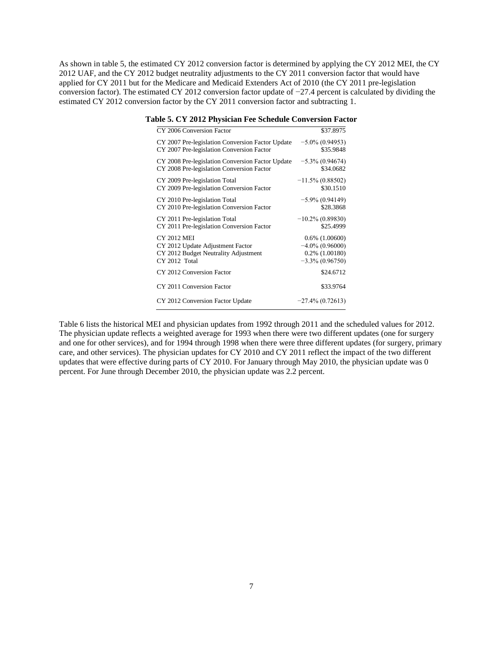As shown in table 5, the estimated CY 2012 conversion factor is determined by applying the CY 2012 MEI, the CY 2012 UAF, and the CY 2012 budget neutrality adjustments to the CY 2011 conversion factor that would have applied for CY 2011 but for the Medicare and Medicaid Extenders Act of 2010 (the CY 2011 pre-legislation conversion factor). The estimated CY 2012 conversion factor update of −27.4 percent is calculated by dividing the estimated CY 2012 conversion factor by the CY 2011 conversion factor and subtracting 1.

| CY 2006 Conversion Factor                        | \$37.8975           |
|--------------------------------------------------|---------------------|
| CY 2007 Pre-legislation Conversion Factor Update | $-5.0\%$ (0.94953)  |
| CY 2007 Pre-legislation Conversion Factor        | \$35.9848           |
| CY 2008 Pre-legislation Conversion Factor Update | $-5.3\%$ (0.94674)  |
| CY 2008 Pre-legislation Conversion Factor        | \$34.0682           |
| CY 2009 Pre-legislation Total                    | $-11.5\% (0.88502)$ |
| CY 2009 Pre-legislation Conversion Factor        | \$30.1510           |
| CY 2010 Pre-legislation Total                    | $-5.9\% (0.94149)$  |
| CY 2010 Pre-legislation Conversion Factor        | \$28.3868           |
| CY 2011 Pre-legislation Total                    | $-10.2\%$ (0.89830) |
| CY 2011 Pre-legislation Conversion Factor        | \$25.4999           |
| <b>CY 2012 MEI</b>                               | $0.6\%$ $(1.00600)$ |
| CY 2012 Update Adjustment Factor                 | $-4.0\%$ (0.96000)  |
| CY 2012 Budget Neutrality Adjustment             | $0.2\%$ $(1.00180)$ |
| CY 2012 Total                                    | $-3.3\%$ (0.96750)  |
| CY 2012 Conversion Factor                        | \$24.6712           |
| CY 2011 Conversion Factor                        | \$33.9764           |
| CY 2012 Conversion Factor Update                 | $-27.4\% (0.72613)$ |

#### **Table 5. CY 2012 Physician Fee Schedule Conversion Factor**

Table 6 lists the historical MEI and physician updates from 1992 through 2011 and the scheduled values for 2012. The physician update reflects a weighted average for 1993 when there were two different updates (one for surgery and one for other services), and for 1994 through 1998 when there were three different updates (for surgery, primary care, and other services). The physician updates for CY 2010 and CY 2011 reflect the impact of the two different updates that were effective during parts of CY 2010. For January through May 2010, the physician update was 0 percent. For June through December 2010, the physician update was 2.2 percent.